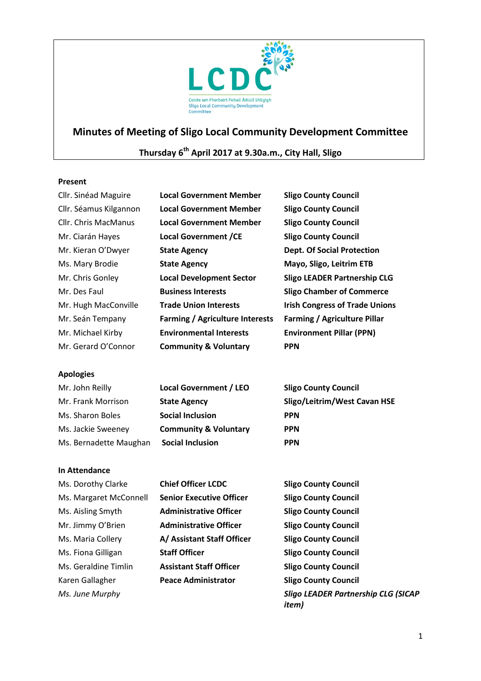

# **Minutes of Meeting of Sligo Local Community Development Committee**

# **Thursday 6th April 2017 at 9.30a.m., City Hall, Sligo**

# **Present**

| Cllr. Sinéad Maguire   | <b>Local Government Member</b>         | <b>Sligo County Council</b>           |
|------------------------|----------------------------------------|---------------------------------------|
| Cllr. Séamus Kilgannon | <b>Local Government Member</b>         | <b>Sligo County Council</b>           |
| Cllr. Chris MacManus   | <b>Local Government Member</b>         | <b>Sligo County Council</b>           |
| Mr. Ciarán Hayes       | <b>Local Government /CE</b>            | <b>Sligo County Council</b>           |
| Mr. Kieran O'Dwyer     | <b>State Agency</b>                    | <b>Dept. Of Social Protection</b>     |
| Ms. Mary Brodie        | <b>State Agency</b>                    | Mayo, Sligo, Leitrim ETB              |
| Mr. Chris Gonley       | <b>Local Development Sector</b>        | <b>Sligo LEADER Partnership CLG</b>   |
| Mr. Des Faul           | <b>Business Interests</b>              | <b>Sligo Chamber of Commerce</b>      |
| Mr. Hugh MacConville   | <b>Trade Union Interests</b>           | <b>Irish Congress of Trade Unions</b> |
| Mr. Seán Tempany       | <b>Farming / Agriculture Interests</b> | <b>Farming / Agriculture Pillar</b>   |
| Mr. Michael Kirby      | <b>Environmental Interests</b>         | <b>Environment Pillar (PPN)</b>       |
| Mr. Gerard O'Connor    | <b>Community &amp; Voluntary</b>       | <b>PPN</b>                            |

# **Apologies**

| Mr. John Reilly        | <b>Local Government / LEO</b>    | <b>Sligo County Council</b>  |
|------------------------|----------------------------------|------------------------------|
| Mr. Frank Morrison     | <b>State Agency</b>              | Sligo/Leitrim/West Cavan HSE |
| Ms. Sharon Boles       | <b>Social Inclusion</b>          | <b>PPN</b>                   |
| Ms. Jackie Sweeney     | <b>Community &amp; Voluntary</b> | <b>PPN</b>                   |
| Ms. Bernadette Maughan | <b>Social Inclusion</b>          | <b>PPN</b>                   |

# **In Attendance**

| Ms. Dorothy Clarke     | <b>Chief Officer LCDC</b>       | <b>Sligo County Council</b>                                 |
|------------------------|---------------------------------|-------------------------------------------------------------|
| Ms. Margaret McConnell | <b>Senior Executive Officer</b> | <b>Sligo County Council</b>                                 |
| Ms. Aisling Smyth      | <b>Administrative Officer</b>   | <b>Sligo County Council</b>                                 |
| Mr. Jimmy O'Brien      | <b>Administrative Officer</b>   | <b>Sligo County Council</b>                                 |
| Ms. Maria Collery      | A/ Assistant Staff Officer      | <b>Sligo County Council</b>                                 |
| Ms. Fiona Gilligan     | <b>Staff Officer</b>            | <b>Sligo County Council</b>                                 |
| Ms. Geraldine Timlin   | <b>Assistant Staff Officer</b>  | <b>Sligo County Council</b>                                 |
| Karen Gallagher        | <b>Peace Administrator</b>      | <b>Sligo County Council</b>                                 |
| Ms. June Murphy        |                                 | <b>Sligo LEADER Partnership CLG (SICAP</b><br><i>item</i> ) |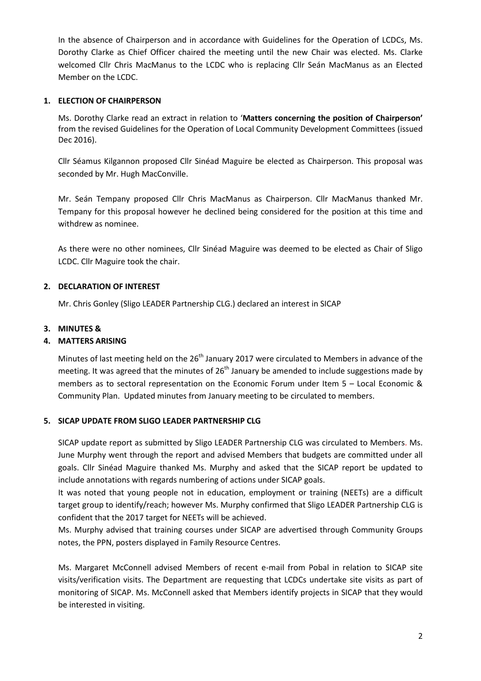In the absence of Chairperson and in accordance with Guidelines for the Operation of LCDCs, Ms. Dorothy Clarke as Chief Officer chaired the meeting until the new Chair was elected. Ms. Clarke welcomed Cllr Chris MacManus to the LCDC who is replacing Cllr Seán MacManus as an Elected Member on the LCDC.

# **1. ELECTION OF CHAIRPERSON**

Ms. Dorothy Clarke read an extract in relation to '**Matters concerning the position of Chairperson'** from the revised Guidelines for the Operation of Local Community Development Committees (issued Dec 2016).

Cllr Séamus Kilgannon proposed Cllr Sinéad Maguire be elected as Chairperson. This proposal was seconded by Mr. Hugh MacConville.

Mr. Seán Tempany proposed Cllr Chris MacManus as Chairperson. Cllr MacManus thanked Mr. Tempany for this proposal however he declined being considered for the position at this time and withdrew as nominee.

As there were no other nominees, Cllr Sinéad Maguire was deemed to be elected as Chair of Sligo LCDC. Cllr Maguire took the chair.

# **2. DECLARATION OF INTEREST**

Mr. Chris Gonley (Sligo LEADER Partnership CLG.) declared an interest in SICAP

# **3. MINUTES &**

# **4. MATTERS ARISING**

Minutes of last meeting held on the 26<sup>th</sup> January 2017 were circulated to Members in advance of the meeting. It was agreed that the minutes of 26<sup>th</sup> January be amended to include suggestions made by members as to sectoral representation on the Economic Forum under Item 5 – Local Economic & Community Plan. Updated minutes from January meeting to be circulated to members.

#### **5. SICAP UPDATE FROM SLIGO LEADER PARTNERSHIP CLG**

SICAP update report as submitted by Sligo LEADER Partnership CLG was circulated to Members. Ms. June Murphy went through the report and advised Members that budgets are committed under all goals. Cllr Sinéad Maguire thanked Ms. Murphy and asked that the SICAP report be updated to include annotations with regards numbering of actions under SICAP goals.

It was noted that young people not in education, employment or training (NEETs) are a difficult target group to identify/reach; however Ms. Murphy confirmed that Sligo LEADER Partnership CLG is confident that the 2017 target for NEETs will be achieved.

Ms. Murphy advised that training courses under SICAP are advertised through Community Groups notes, the PPN, posters displayed in Family Resource Centres.

Ms. Margaret McConnell advised Members of recent e-mail from Pobal in relation to SICAP site visits/verification visits. The Department are requesting that LCDCs undertake site visits as part of monitoring of SICAP. Ms. McConnell asked that Members identify projects in SICAP that they would be interested in visiting.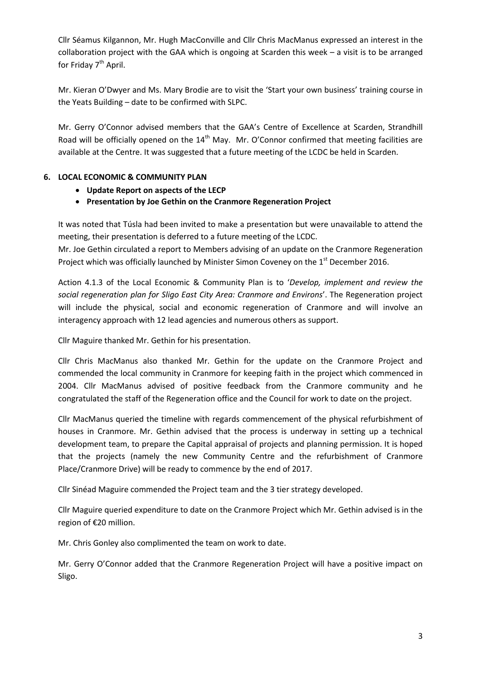Cllr Séamus Kilgannon, Mr. Hugh MacConville and Cllr Chris MacManus expressed an interest in the collaboration project with the GAA which is ongoing at Scarden this week – a visit is to be arranged for Friday 7<sup>th</sup> April.

Mr. Kieran O'Dwyer and Ms. Mary Brodie are to visit the 'Start your own business' training course in the Yeats Building – date to be confirmed with SLPC.

Mr. Gerry O'Connor advised members that the GAA's Centre of Excellence at Scarden, Strandhill Road will be officially opened on the  $14<sup>th</sup>$  May. Mr. O'Connor confirmed that meeting facilities are available at the Centre. It was suggested that a future meeting of the LCDC be held in Scarden.

# **6. LOCAL ECONOMIC & COMMUNITY PLAN**

- **Update Report on aspects of the LECP**
- **Presentation by Joe Gethin on the Cranmore Regeneration Project**

It was noted that Túsla had been invited to make a presentation but were unavailable to attend the meeting, their presentation is deferred to a future meeting of the LCDC.

Mr. Joe Gethin circulated a report to Members advising of an update on the Cranmore Regeneration Project which was officially launched by Minister Simon Coveney on the 1<sup>st</sup> December 2016.

Action 4.1.3 of the Local Economic & Community Plan is to '*Develop, implement and review the social regeneration plan for Sligo East City Area: Cranmore and Environs*'. The Regeneration project will include the physical, social and economic regeneration of Cranmore and will involve an interagency approach with 12 lead agencies and numerous others as support.

Cllr Maguire thanked Mr. Gethin for his presentation.

Cllr Chris MacManus also thanked Mr. Gethin for the update on the Cranmore Project and commended the local community in Cranmore for keeping faith in the project which commenced in 2004. Cllr MacManus advised of positive feedback from the Cranmore community and he congratulated the staff of the Regeneration office and the Council for work to date on the project.

Cllr MacManus queried the timeline with regards commencement of the physical refurbishment of houses in Cranmore. Mr. Gethin advised that the process is underway in setting up a technical development team, to prepare the Capital appraisal of projects and planning permission. It is hoped that the projects (namely the new Community Centre and the refurbishment of Cranmore Place/Cranmore Drive) will be ready to commence by the end of 2017.

Cllr Sinéad Maguire commended the Project team and the 3 tier strategy developed.

Cllr Maguire queried expenditure to date on the Cranmore Project which Mr. Gethin advised is in the region of €20 million.

Mr. Chris Gonley also complimented the team on work to date.

Mr. Gerry O'Connor added that the Cranmore Regeneration Project will have a positive impact on Sligo.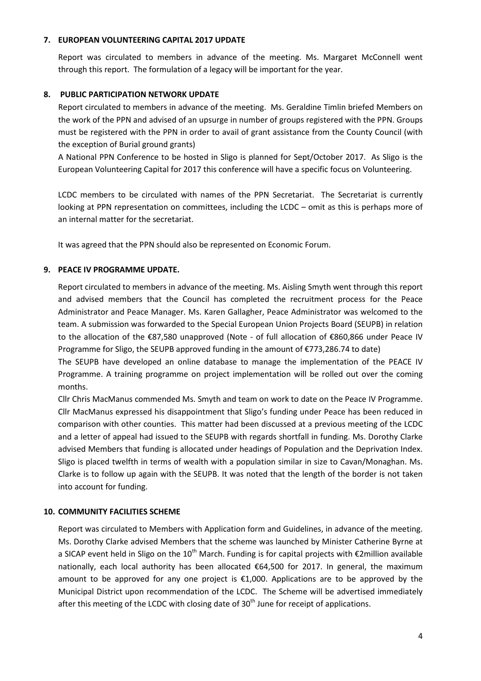# **7. EUROPEAN VOLUNTEERING CAPITAL 2017 UPDATE**

Report was circulated to members in advance of the meeting. Ms. Margaret McConnell went through this report. The formulation of a legacy will be important for the year.

# **8. PUBLIC PARTICIPATION NETWORK UPDATE**

Report circulated to members in advance of the meeting. Ms. Geraldine Timlin briefed Members on the work of the PPN and advised of an upsurge in number of groups registered with the PPN. Groups must be registered with the PPN in order to avail of grant assistance from the County Council (with the exception of Burial ground grants)

A National PPN Conference to be hosted in Sligo is planned for Sept/October 2017. As Sligo is the European Volunteering Capital for 2017 this conference will have a specific focus on Volunteering.

LCDC members to be circulated with names of the PPN Secretariat. The Secretariat is currently looking at PPN representation on committees, including the LCDC – omit as this is perhaps more of an internal matter for the secretariat.

It was agreed that the PPN should also be represented on Economic Forum.

# **9. PEACE IV PROGRAMME UPDATE.**

Report circulated to members in advance of the meeting. Ms. Aisling Smyth went through this report and advised members that the Council has completed the recruitment process for the Peace Administrator and Peace Manager. Ms. Karen Gallagher, Peace Administrator was welcomed to the team. A submission was forwarded to the Special European Union Projects Board (SEUPB) in relation to the allocation of the €87,580 unapproved (Note - of full allocation of €860,866 under Peace IV Programme for Sligo, the SEUPB approved funding in the amount of  $\epsilon$ 773,286.74 to date)

The SEUPB have developed an online database to manage the implementation of the PEACE IV Programme. A training programme on project implementation will be rolled out over the coming months.

Cllr Chris MacManus commended Ms. Smyth and team on work to date on the Peace IV Programme. Cllr MacManus expressed his disappointment that Sligo's funding under Peace has been reduced in comparison with other counties. This matter had been discussed at a previous meeting of the LCDC and a letter of appeal had issued to the SEUPB with regards shortfall in funding. Ms. Dorothy Clarke advised Members that funding is allocated under headings of Population and the Deprivation Index. Sligo is placed twelfth in terms of wealth with a population similar in size to Cavan/Monaghan. Ms. Clarke is to follow up again with the SEUPB. It was noted that the length of the border is not taken into account for funding.

# **10. COMMUNITY FACILITIES SCHEME**

Report was circulated to Members with Application form and Guidelines, in advance of the meeting. Ms. Dorothy Clarke advised Members that the scheme was launched by Minister Catherine Byrne at a SICAP event held in Sligo on the 10<sup>th</sup> March. Funding is for capital projects with  $\epsilon$ 2million available nationally, each local authority has been allocated  $\epsilon$ 64,500 for 2017. In general, the maximum amount to be approved for any one project is €1,000. Applications are to be approved by the Municipal District upon recommendation of the LCDC. The Scheme will be advertised immediately after this meeting of the LCDC with closing date of  $30<sup>th</sup>$  June for receipt of applications.